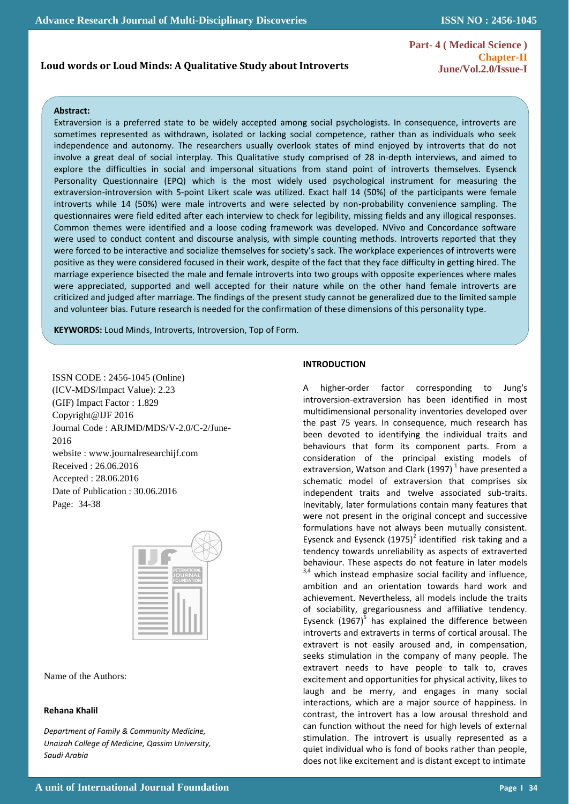# **Loud words or Loud Minds: A Qualitative Study about Introverts**

**Part- 4 ( Medical Science ) Chapter-II June/Vol.2.0/Issue-I** 

# **Abstract:**

 $\mathbb{R}^2$ 

Extraversion is a preferred state to be widely accepted among social psychologists. In consequence, introverts are sometimes represented as withdrawn, isolated or lacking social competence, rather than as individuals who seek independence and autonomy. The researchers usually overlook states of mind enjoyed by introverts that do not involve a great deal of social interplay. This Qualitative study comprised of 28 in-depth interviews, and aimed to explore the difficulties in social and impersonal situations from stand point of introverts themselves. Eysenck Personality Questionnaire (EPQ) which is the most widely used psychological instrument for measuring the extraversion-introversion with 5-point Likert scale was utilized. Exact half 14 (50%) of the participants were female introverts while 14 (50%) were male introverts and were selected by non-probability convenience sampling. The questionnaires were field edited after each interview to check for legibility, missing fields and any illogical responses. Common themes were identified and a loose coding framework was developed. NVivo and Concordance software were used to conduct content and discourse analysis, with simple counting methods. Introverts reported that they were forced to be interactive and socialize themselves for society's sack. The workplace experiences of introverts were positive as they were considered focused in their work, despite of the fact that they face difficulty in getting hired. The marriage experience bisected the male and female introverts into two groups with opposite experiences where males were appreciated, supported and well accepted for their nature while on the other hand female introverts are criticized and judged after marriage. The findings of the present study cannot be generalized due to the limited sample and volunteer bias. Future research is needed for the confirmation of these dimensions of this personality type.

**KEYWORDS:** Loud Minds, Introverts, Introversion, Top of Form.

ISSN CODE : 2456-1045 (Online) (ICV-MDS/Impact Value): 2.23 (GIF) Impact Factor : 1.829 Copyright@IJF 2016 Journal Code : ARJMD/MDS/V-2.0/C-2/June-2016 website : www.journalresearchijf.com Received : 26.06.2016 Accepted : 28.06.2016 Date of Publication : 30.06.2016 Page: 34-38



Name of the Authors:

# **Rehana Khalil**

*Department of Family & Community Medicine, Unaizah College of Medicine, Qassim University, Saudi Arabia*

# **INTRODUCTION**

A higher-order factor corresponding to Jung's introversion-extraversion has been identified in most multidimensional personality inventories developed over the past 75 years. In consequence, much research has been devoted to identifying the individual traits and behaviours that form its component parts. From a consideration of the principal existing models of extraversion, Watson and Clark (1997)<sup>1</sup> have presented a schematic model of extraversion that comprises six independent traits and twelve associated sub-traits. Inevitably, later formulations contain many features that were not present in the original concept and successive formulations have not always been mutually consistent. Eysenck and Eysenck  $(1975)^2$  identified risk taking and a tendency towards unreliability as aspects of extraverted behaviour. These aspects do not feature in later models  $3,4$  which instead emphasize social facility and influence, ambition and an orientation towards hard work and achievement. Nevertheless, all models include the traits of sociability, gregariousness and affiliative tendency. Eysenck  $(1967)^5$  has explained the difference between introverts and extraverts in terms of cortical arousal. The extravert is not easily aroused and, in compensation, seeks stimulation in the company of many people. The extravert needs to have people to talk to, craves excitement and opportunities for physical activity, likes to laugh and be merry, and engages in many social interactions, which are a major source of happiness. In contrast, the introvert has a low arousal threshold and can function without the need for high levels of external stimulation. The introvert is usually represented as a quiet individual who is fond of books rather than people, does not like excitement and is distant except to intimate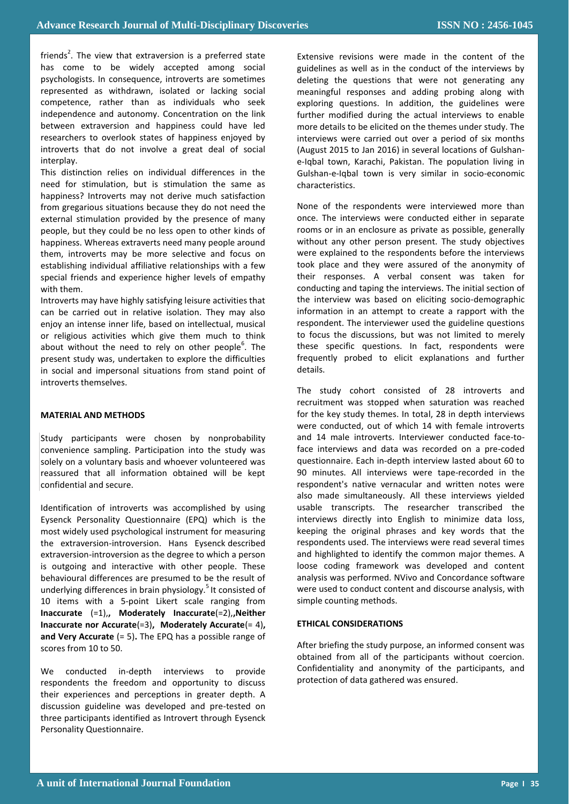friends<sup>2</sup>. The view that extraversion is a preferred state has come to be widely accepted among social psychologists. In consequence, introverts are sometimes represented as withdrawn, isolated or lacking social competence, rather than as individuals who seek independence and autonomy. Concentration on the link between extraversion and happiness could have led researchers to overlook states of happiness enjoyed by introverts that do not involve a great deal of social interplay.

This distinction relies on individual differences in the need for stimulation, but is stimulation the same as happiness? Introverts may not derive much satisfaction from gregarious situations because they do not need the external stimulation provided by the presence of many people, but they could be no less open to other kinds of happiness. Whereas extraverts need many people around them, introverts may be more selective and focus on establishing individual affiliative relationships with a few special friends and experience higher levels of empathy with them.

Introverts may have highly satisfying leisure activities that can be carried out in relative isolation. They may also enjoy an intense inner life, based on intellectual, musical or religious activities which give them much to think about without the need to rely on other people<sup>6</sup>. The present study was, undertaken to explore the difficulties in social and impersonal situations from stand point of introverts themselves.

# **MATERIAL AND METHODS**

Study participants were chosen by nonprobability convenience sampling. Participation into the study was solely on a voluntary basis and whoever volunteered was reassured that all information obtained will be kept confidential and secure.

Identification of introverts was accomplished by using Eysenck Personality Questionnaire (EPQ) which is the most widely used psychological instrument for measuring the extraversion-introversion. Hans Eysenck described extraversion-introversion as the degree to which a person is outgoing and interactive with other people. These behavioural differences are presumed to be the result of underlying differences in brain physiology.<sup>5</sup> It consisted of 10 items with a 5-point Likert scale ranging from **Inaccurate** (=1),**, Moderately Inaccurate**(=2),**,Neither Inaccurate nor Accurate**(=3)**, Moderately Accurate**(= 4)**, and Very Accurate** (= 5)**.** The EPQ has a possible range of scores from 10 to 50.

We conducted in-depth interviews to provide respondents the freedom and opportunity to discuss their experiences and perceptions in greater depth. A discussion guideline was developed and pre-tested on three participants identified as Introvert through Eysenck Personality Questionnaire.

Extensive revisions were made in the content of the guidelines as well as in the conduct of the interviews by deleting the questions that were not generating any meaningful responses and adding probing along with exploring questions. In addition, the guidelines were further modified during the actual interviews to enable more details to be elicited on the themes under study. The interviews were carried out over a period of six months (August 2015 to Jan 2016) in several locations of Gulshane-Iqbal town, Karachi, Pakistan. The population living in Gulshan-e-Iqbal town is very similar in socio-economic characteristics.

None of the respondents were interviewed more than once. The interviews were conducted either in separate rooms or in an enclosure as private as possible, generally without any other person present. The study objectives were explained to the respondents before the interviews took place and they were assured of the anonymity of their responses. A verbal consent was taken for conducting and taping the interviews. The initial section of the interview was based on eliciting socio-demographic information in an attempt to create a rapport with the respondent. The interviewer used the guideline questions to focus the discussions, but was not limited to merely these specific questions. In fact, respondents were frequently probed to elicit explanations and further details.

The study cohort consisted of 28 introverts and recruitment was stopped when saturation was reached for the key study themes. In total, 28 in depth interviews were conducted, out of which 14 with female introverts and 14 male introverts. Interviewer conducted face-toface interviews and data was recorded on a pre-coded questionnaire. Each in-depth interview lasted about 60 to 90 minutes. All interviews were tape-recorded in the respondent's native vernacular and written notes were also made simultaneously. All these interviews yielded usable transcripts. The researcher transcribed the interviews directly into English to minimize data loss, keeping the original phrases and key words that the respondents used. The interviews were read several times and highlighted to identify the common major themes. A loose coding framework was developed and content analysis was performed. NVivo and Concordance software were used to conduct content and discourse analysis, with simple counting methods.

# **ETHICAL CONSIDERATIONS**

After briefing the study purpose, an informed consent was obtained from all of the participants without coercion. Confidentiality and anonymity of the participants, and protection of data gathered was ensured.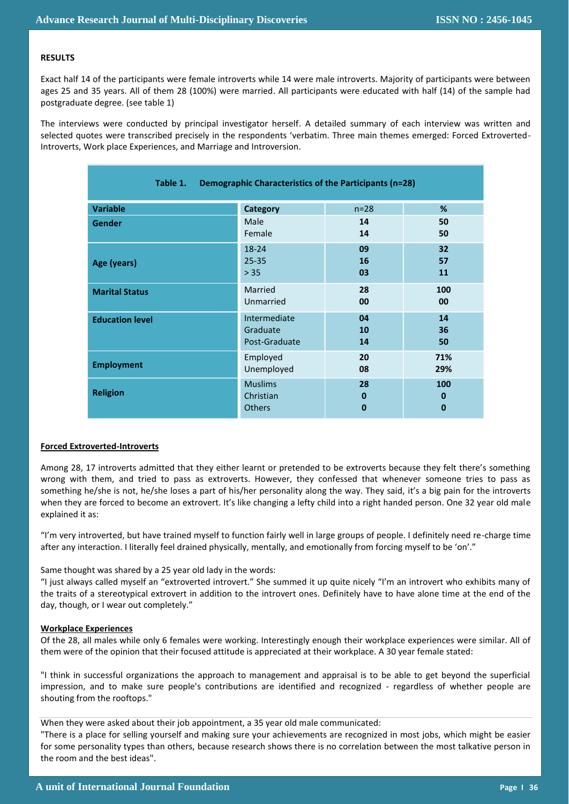# **RESULTS**

Exact half 14 of the participants were female introverts while 14 were male introverts. Majority of participants were between ages 25 and 35 years. All of them 28 (100%) were married. All participants were educated with half (14) of the sample had postgraduate degree. (see table 1)

The interviews were conducted by principal investigator herself. A detailed summary of each interview was written and selected quotes were transcribed precisely in the respondents 'verbatim. Three main themes emerged: Forced Extroverted-Introverts, Work place Experiences, and Marriage and Introversion.

| Table 1.<br>Demographic Characteristics of the Participants (n=28) |                 |          |                 |
|--------------------------------------------------------------------|-----------------|----------|-----------------|
| <b>Variable</b>                                                    | <b>Category</b> | $n=28$   | %               |
| <b>Gender</b>                                                      | Male            | 14       | 50              |
|                                                                    | Female          | 14       | 50              |
| Age (years)                                                        | $18 - 24$       | 09       | 32 <sub>2</sub> |
|                                                                    | $25 - 35$       | 16       | 57              |
|                                                                    | > 35            | 03       | 11              |
| <b>Marital Status</b>                                              | Married         | 28       | 100             |
|                                                                    | Unmarried       | 00       | 00              |
| <b>Education level</b>                                             | Intermediate    | 04       | 14              |
|                                                                    | Graduate        | 10       | 36              |
|                                                                    | Post-Graduate   | 14       | 50              |
| <b>Employment</b>                                                  | Employed        | 20       | 71%             |
|                                                                    | Unemployed      | 08       | 29%             |
| <b>Religion</b>                                                    | <b>Muslims</b>  | 28       | 100             |
|                                                                    | Christian       | $\bf{0}$ | $\bf{0}$        |
|                                                                    | <b>Others</b>   | 0        | $\bf{0}$        |

# **Forced Extroverted-Introverts**

Among 28, 17 introverts admitted that they either learnt or pretended to be extroverts because they felt there's something wrong with them, and tried to pass as extroverts. However, they confessed that whenever someone tries to pass as something he/she is not, he/she loses a part of his/her personality along the way. They said, it's a big pain for the introverts when they are forced to become an extrovert. It's like changing a lefty child into a right handed person. One 32 year old male explained it as:

"I'm very introverted, but have trained myself to function fairly well in large groups of people. I definitely need re-charge time after any interaction. I literally feel drained physically, mentally, and emotionally from forcing myself to be 'on'."

# Same thought was shared by a 25 year old lady in the words:

"I just always called myself an "extroverted introvert." She summed it up quite nicely "I'm an introvert who exhibits many of the traits of a stereotypical extrovert in addition to the introvert ones. Definitely have to have alone time at the end of the day, though, or I wear out completely."

#### **Workplace Experiences**

Of the 28, all males while only 6 females were working. Interestingly enough their workplace experiences were similar. All of them were of the opinion that their focused attitude is appreciated at their workplace. A 30 year female stated:

"I think in successful organizations the approach to management and appraisal is to be able to get beyond the superficial impression, and to make sure people's contributions are identified and recognized - regardless of whether people are shouting from the rooftops."

When they were asked about their job appointment, a 35 year old male communicated:

"There is a place for selling yourself and making sure your achievements are recognized in most jobs, which might be easier for some personality types than others, because research shows there is no correlation between the most talkative person in the room and the best ideas".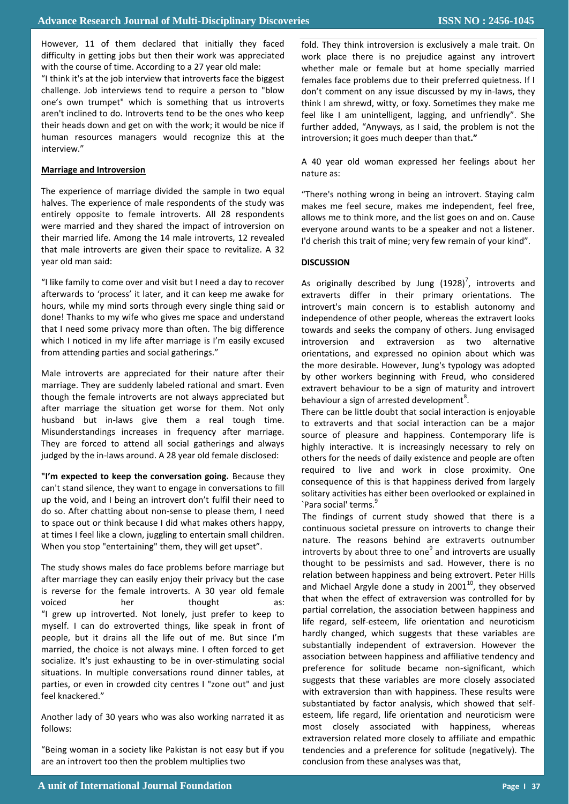However, 11 of them declared that initially they faced difficulty in getting jobs but then their work was appreciated with the course of time. According to a 27 year old male:

"I think it's at the job interview that introverts face the biggest challenge. Job interviews tend to require a person to "blow one's own trumpet" which is something that us introverts aren't inclined to do. Introverts tend to be the ones who keep their heads down and get on with the work; it would be nice if human resources managers would recognize this at the interview."

# **Marriage and Introversion**

The experience of marriage divided the sample in two equal halves. The experience of male respondents of the study was entirely opposite to female introverts. All 28 respondents were married and they shared the impact of introversion on their married life. Among the 14 male introverts, 12 revealed that male introverts are given their space to revitalize. A 32 year old man said:

"I like family to come over and visit but I need a day to recover afterwards to 'process' it later, and it can keep me awake for hours, while my mind sorts through every single thing said or done! Thanks to my wife who gives me space and understand that I need some privacy more than often. The big difference which I noticed in my life after marriage is I'm easily excused from attending parties and social gatherings."

Male introverts are appreciated for their nature after their marriage. They are suddenly labeled rational and smart. Even though the female introverts are not always appreciated but after marriage the situation get worse for them. Not only husband but in-laws give them a real tough time. Misunderstandings increases in frequency after marriage. They are forced to attend all social gatherings and always judged by the in-laws around. A 28 year old female disclosed:

**"I'm expected to keep the conversation going.** Because they can't stand silence, they want to engage in conversations to fill up the void, and I being an introvert don't fulfil their need to do so. After chatting about non-sense to please them, I need to space out or think because I did what makes others happy, at times I feel like a clown, juggling to entertain small children. When you stop "entertaining" them, they will get upset".

The study shows males do face problems before marriage but after marriage they can easily enjoy their privacy but the case is reverse for the female introverts. A 30 year old female voiced her thought as: "I grew up introverted. Not lonely, just prefer to keep to myself. I can do extroverted things, like speak in front of people, but it drains all the life out of me. But since I'm married, the choice is not always mine. I often forced to get socialize. It's just exhausting to be in over-stimulating social situations. In multiple conversations round dinner tables, at parties, or even in crowded city centres I "zone out" and just feel knackered."

Another lady of 30 years who was also working narrated it as follows:

"Being woman in a society like Pakistan is not easy but if you are an introvert too then the problem multiplies two

fold. They think introversion is exclusively a male trait. On work place there is no prejudice against any introvert whether male or female but at home specially married females face problems due to their preferred quietness. If I don't comment on any issue discussed by my in-laws, they think I am shrewd, witty, or foxy. Sometimes they make me feel like I am unintelligent, lagging, and unfriendly". She further added, "Anyways, as I said, the problem is not the introversion; it goes much deeper than that**."**

A 40 year old woman expressed her feelings about her nature as:

"There's nothing wrong in being an introvert. Staying calm makes me feel secure, makes me independent, feel free, allows me to think more, and the list goes on and on. Cause everyone around wants to be a speaker and not a listener. I'd cherish this trait of mine; very few remain of your kind".

# **DISCUSSION**

As originally described by Jung  $(1928)^7$ , introverts and extraverts differ in their primary orientations. The introvert's main concern is to establish autonomy and independence of other people, whereas the extravert looks towards and seeks the company of others. Jung envisaged introversion and extraversion as two alternative orientations, and expressed no opinion about which was the more desirable. However, Jung's typology was adopted by other workers beginning with Freud, who considered extravert behaviour to be a sign of maturity and introvert behaviour a sign of arrested development<sup>8</sup>.

There can be little doubt that social interaction is enjoyable to extraverts and that social interaction can be a major source of pleasure and happiness. Contemporary life is highly interactive. It is increasingly necessary to rely on others for the needs of daily existence and people are often required to live and work in close proximity. One consequence of this is that happiness derived from largely solitary activities has either been overlooked or explained in `Para social' terms.<sup>9</sup>

The findings of current study showed that there is a continuous societal pressure on introverts to change their nature. The reasons behind are extraverts outnumber introverts by about three to one<sup>9</sup> and introverts are usually thought to be pessimists and sad. However, there is no relation between happiness and being extrovert. Peter Hills and Michael Argyle done a study in  $2001^{10}$ , they observed that when the effect of extraversion was controlled for by partial correlation, the association between happiness and life regard, self-esteem, life orientation and neuroticism hardly changed, which suggests that these variables are substantially independent of extraversion. However the association between happiness and affiliative tendency and preference for solitude became non-significant, which suggests that these variables are more closely associated with extraversion than with happiness. These results were substantiated by factor analysis, which showed that selfesteem, life regard, life orientation and neuroticism were most closely associated with happiness, whereas extraversion related more closely to affiliate and empathic tendencies and a preference for solitude (negatively). The conclusion from these analyses was that,